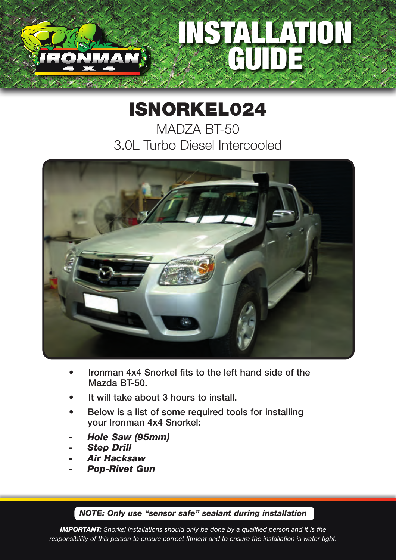## STALLATION GUIDE

## ISNORKEL024

MADZA BT-50 3.0L Turbo Diesel Intercooled



- Ironman 4x4 Snorkel fits to the left hand side of the Mazda BT-50.
- It will take about 3 hours to install.
- Below is a list of some required tools for installing your Ironman 4x4 Snorkel:
- *- Hole Saw (95mm)*
- *- Step Drill*
- *- Air Hacksaw*
- *- Pop-Rivet Gun*

## *NOTE: Only use "sensor safe" sealant during installation*

*IMPORTANT: Snorkel installations should only be done by a qualified person and it is the responsibility of this person to ensure correct fitment and to ensure the installation is water tight.*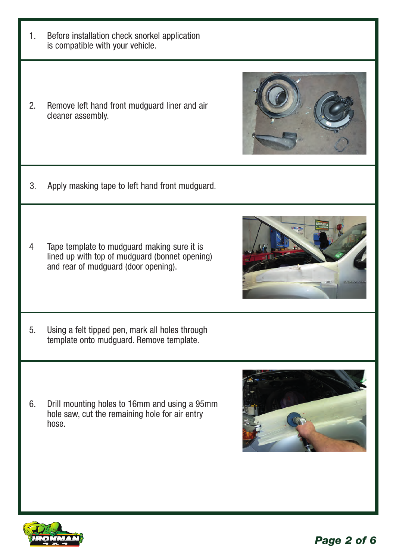- 1. Before installation check snorkel application is compatible with your vehicle.
- 2. Remove left hand front mudguard liner and air cleaner assembly.

- 3. Apply masking tape to left hand front mudguard.
- 4 Tape template to mudguard making sure it is lined up with top of mudguard (bonnet opening) and rear of mudguard (door opening).
- 5. Using a felt tipped pen, mark all holes through template onto mudguard. Remove template.
- 6. Drill mounting holes to 16mm and using a 95mm hole saw, cut the remaining hole for air entry hose.







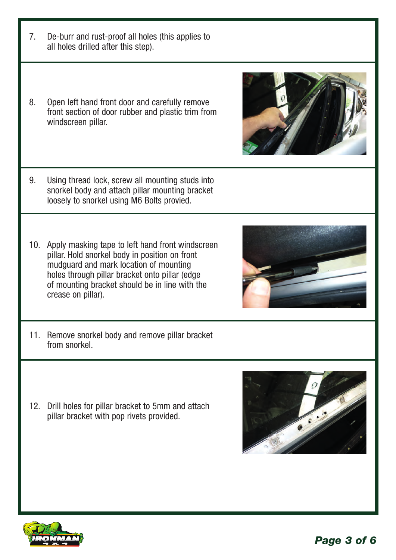- 7. De-burr and rust-proof all holes (this applies to all holes drilled after this step).
- 8. Open left hand front door and carefully remove front section of door rubber and plastic trim from windscreen pillar.
- 9. Using thread lock, screw all mounting studs into snorkel body and attach pillar mounting bracket loosely to snorkel using M6 Bolts provied.
- 10. Apply masking tape to left hand front windscreen pillar. Hold snorkel body in position on front mudguard and mark location of mounting holes through pillar bracket onto pillar (edge of mounting bracket should be in line with the crease on pillar).
- 11. Remove snorkel body and remove pillar bracket from snorkel.
- 12. Drill holes for pillar bracket to 5mm and attach pillar bracket with pop rivets provided.
- 







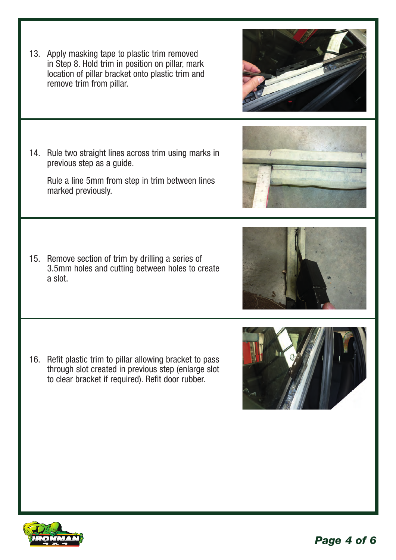13. Apply masking tape to plastic trim removed in Step 8. Hold trim in position on pillar, mark location of pillar bracket onto plastic trim and remove trim from pillar.

14. Rule two straight lines across trim using marks in previous step as a guide.

Rule a line 5mm from step in trim between lines marked previously.

15. Remove section of trim by drilling a series of 3.5mm holes and cutting between holes to create a slot.

16. Refit plastic trim to pillar allowing bracket to pass through slot created in previous step (enlarge slot to clear bracket if required). Refit door rubber.









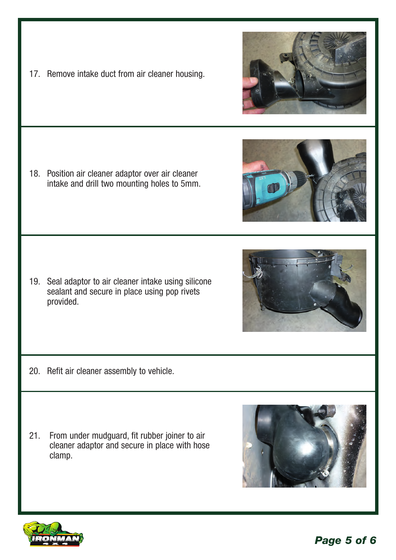*Page 5 of 6*

17. Remove intake duct from air cleaner housing.

18. Position air cleaner adaptor over air cleaner intake and drill two mounting holes to 5mm.

19. Seal adaptor to air cleaner intake using silicone sealant and secure in place using pop rivets provided.

- 20. Refit air cleaner assembly to vehicle.
- 21. From under mudguard, fit rubber joiner to air cleaner adaptor and secure in place with hose clamp.
-